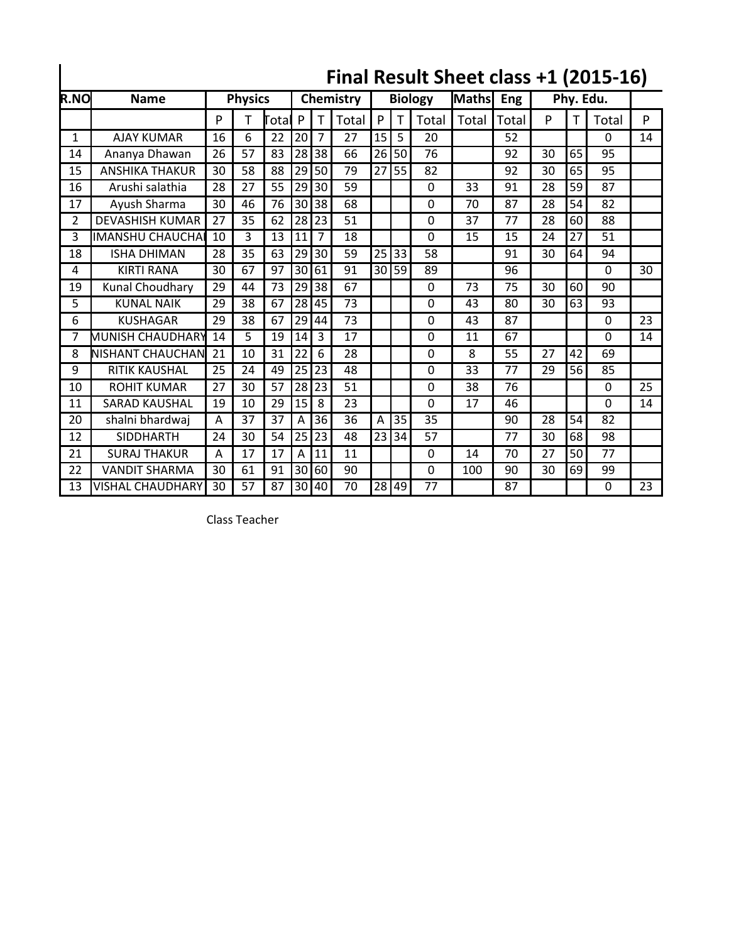|                |                         |    |                |           |    |                |                |                 |    |          |       |       |           |    | Final Result Sheet class +1 (2015-16) |    |
|----------------|-------------------------|----|----------------|-----------|----|----------------|----------------|-----------------|----|----------|-------|-------|-----------|----|---------------------------------------|----|
| <b>R.NO</b>    | <b>Name</b>             |    | <b>Physics</b> | Chemistry |    |                | <b>Biology</b> |                 |    | Maths    | Eng   |       | Phy. Edu. |    |                                       |    |
|                |                         | P  | т              | Total     | P  | т              | Total          | P               | т  | Total    | Total | Total | P         | т  | Total                                 | P  |
| 1              | <b>AJAY KUMAR</b>       | 16 | 6              | 22        | 20 | 7              | 27             | 15              | 5  | 20       |       | 52    |           |    | $\Omega$                              | 14 |
| 14             | Ananya Dhawan           | 26 | 57             | 83        | 28 | 38             | 66             | 26              | 50 | 76       |       | 92    | 30        | 65 | 95                                    |    |
| 15             | <b>ANSHIKA THAKUR</b>   | 30 | 58             | 88        | 29 | 50             | 79             | 27              | 55 | 82       |       | 92    | 30        | 65 | 95                                    |    |
| 16             | Arushi salathia         | 28 | 27             | 55        | 29 | 30             | 59             |                 |    | 0        | 33    | 91    | 28        | 59 | 87                                    |    |
| 17             | Ayush Sharma            | 30 | 46             | 76        | 30 | 38             | 68             |                 |    | 0        | 70    | 87    | 28        | 54 | 82                                    |    |
| $\overline{2}$ | <b>DEVASHISH KUMAR</b>  | 27 | 35             | 62        | 28 | 23             | 51             |                 |    | $\Omega$ | 37    | 77    | 28        | 60 | 88                                    |    |
| 3              | <b>IMANSHU CHAUCHAI</b> | 10 | 3              | 13        | 11 | $\overline{7}$ | 18             |                 |    | $\Omega$ | 15    | 15    | 24        | 27 | 51                                    |    |
| 18             | <b>ISHA DHIMAN</b>      | 28 | 35             | 63        | 29 | 30             | 59             | 25              | 33 | 58       |       | 91    | 30        | 64 | 94                                    |    |
| 4              | <b>KIRTI RANA</b>       | 30 | 67             | 97        | 30 | 61             | 91             | 30 <sup>1</sup> | 59 | 89       |       | 96    |           |    | $\Omega$                              | 30 |
| 19             | Kunal Choudhary         | 29 | 44             | 73        | 29 | 38             | 67             |                 |    | $\Omega$ | 73    | 75    | 30        | 60 | 90                                    |    |
| 5              | <b>KUNAL NAIK</b>       | 29 | 38             | 67        | 28 | 45             | 73             |                 |    | $\Omega$ | 43    | 80    | 30        | 63 | 93                                    |    |
| 6              | <b>KUSHAGAR</b>         | 29 | 38             | 67        | 29 | 44             | 73             |                 |    | $\Omega$ | 43    | 87    |           |    | $\Omega$                              | 23 |
| 7              | MUNISH CHAUDHARY        | 14 | 5              | 19        | 14 | 3              | 17             |                 |    | 0        | 11    | 67    |           |    | 0                                     | 14 |
| 8              | <b>NISHANT CHAUCHAN</b> | 21 | 10             | 31        | 22 | 6              | 28             |                 |    | 0        | 8     | 55    | 27        | 42 | 69                                    |    |
| 9              | <b>RITIK KAUSHAL</b>    | 25 | 24             | 49        | 25 | 23             | 48             |                 |    | 0        | 33    | 77    | 29        | 56 | 85                                    |    |
| 10             | <b>ROHIT KUMAR</b>      | 27 | 30             | 57        | 28 | 23             | 51             |                 |    | 0        | 38    | 76    |           |    | $\mathbf 0$                           | 25 |
| 11             | <b>SARAD KAUSHAL</b>    | 19 | 10             | 29        | 15 | 8              | 23             |                 |    | $\Omega$ | 17    | 46    |           |    | $\Omega$                              | 14 |
| 20             | shalni bhardwaj         | A  | 37             | 37        | A  | 36             | 36             | Α               | 35 | 35       |       | 90    | 28        | 54 | 82                                    |    |
| 12             | <b>SIDDHARTH</b>        | 24 | 30             | 54        | 25 | 23             | 48             | 23              | 34 | 57       |       | 77    | 30        | 68 | 98                                    |    |
| 21             | <b>SURAJ THAKUR</b>     | A  | 17             | 17        | Α  | 11             | 11             |                 |    | $\Omega$ | 14    | 70    | 27        | 50 | 77                                    |    |
| 22             | <b>VANDIT SHARMA</b>    | 30 | 61             | 91        | 30 | 60             | 90             |                 |    | $\Omega$ | 100   | 90    | 30        | 69 | 99                                    |    |
| 13             | <b>VISHAL CHAUDHARY</b> | 30 | 57             | 87        | 30 | 140            | 70             | 28              | 49 | 77       |       | 87    |           |    | $\Omega$                              | 23 |

Class Teacher